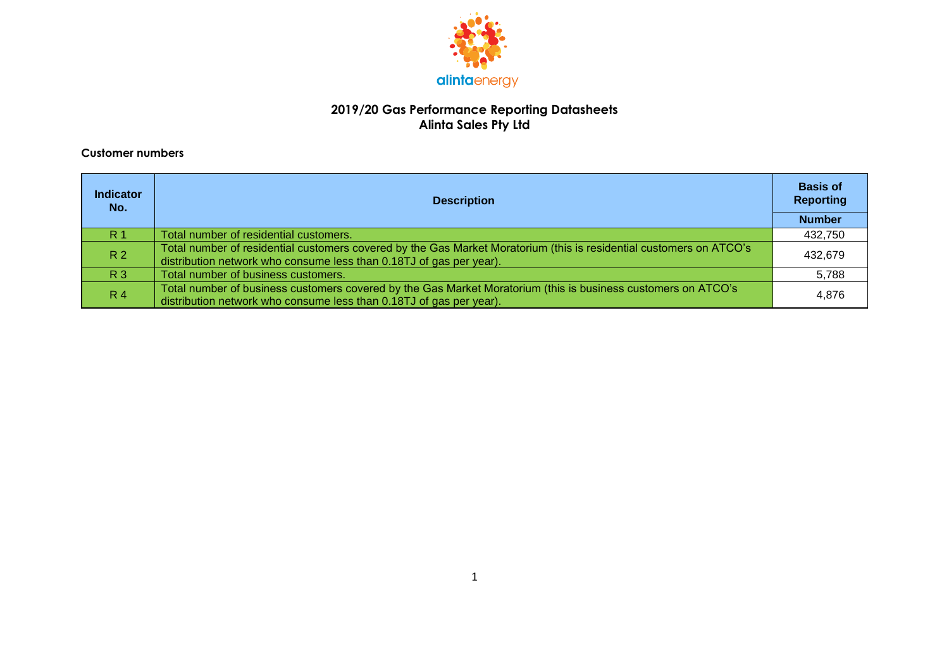

#### **2019/20 Gas Performance Reporting Datasheets Alinta Sales Pty Ltd**

#### **Customer numbers**

| <b>Indicator</b><br>No. | <b>Description</b>                                                                                                                                                                         | <b>Basis of</b><br><b>Reporting</b> |
|-------------------------|--------------------------------------------------------------------------------------------------------------------------------------------------------------------------------------------|-------------------------------------|
|                         |                                                                                                                                                                                            | <b>Number</b>                       |
| R <sub>1</sub>          | Total number of residential customers.                                                                                                                                                     | 432,750                             |
| R <sub>2</sub>          | Total number of residential customers covered by the Gas Market Moratorium (this is residential customers on ATCO's<br>distribution network who consume less than 0.18TJ of gas per year). | 432,679                             |
| <b>R3</b>               | Total number of business customers.                                                                                                                                                        | 5,788                               |
| R <sub>4</sub>          | Total number of business customers covered by the Gas Market Moratorium (this is business customers on ATCO's<br>distribution network who consume less than 0.18TJ of gas per year).       | 4,876                               |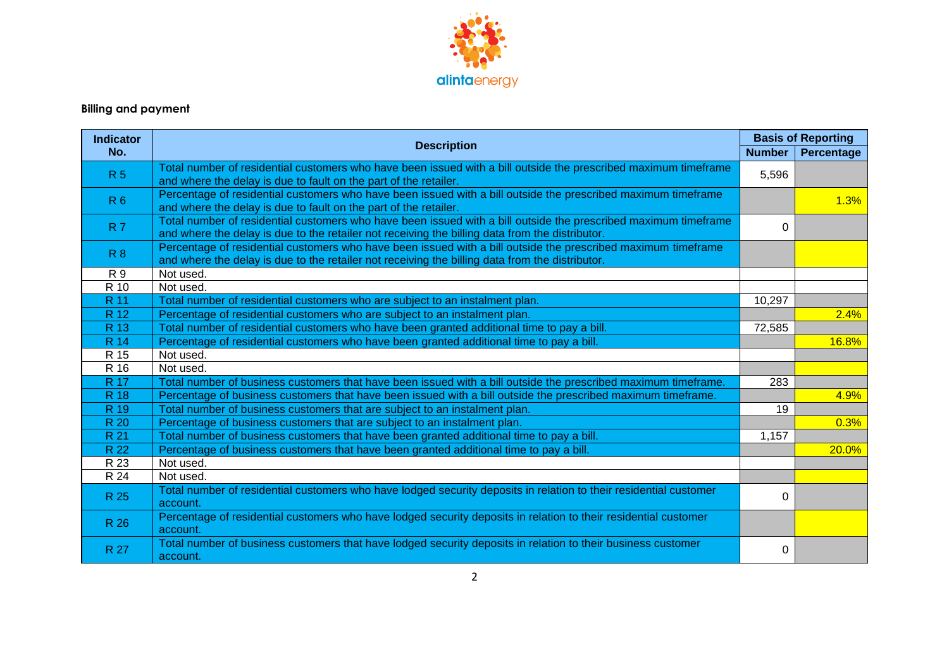

# **Billing and payment**

| <b>Indicator</b> |                                                                                                                                                                                                                    |               | <b>Basis of Reporting</b> |
|------------------|--------------------------------------------------------------------------------------------------------------------------------------------------------------------------------------------------------------------|---------------|---------------------------|
| No.              | <b>Description</b>                                                                                                                                                                                                 | <b>Number</b> | Percentage                |
| R <sub>5</sub>   | Total number of residential customers who have been issued with a bill outside the prescribed maximum timeframe                                                                                                    | 5,596         |                           |
|                  | and where the delay is due to fault on the part of the retailer.                                                                                                                                                   |               |                           |
| R <sub>6</sub>   | Percentage of residential customers who have been issued with a bill outside the prescribed maximum timeframe<br>and where the delay is due to fault on the part of the retailer.                                  |               | 1.3%                      |
| <b>R7</b>        | Total number of residential customers who have been issued with a bill outside the prescribed maximum timeframe<br>and where the delay is due to the retailer not receiving the billing data from the distributor. | $\Omega$      |                           |
| R <sub>8</sub>   | Percentage of residential customers who have been issued with a bill outside the prescribed maximum timeframe<br>and where the delay is due to the retailer not receiving the billing data from the distributor.   |               |                           |
| R 9              | Not used.                                                                                                                                                                                                          |               |                           |
| R 10             | Not used.                                                                                                                                                                                                          |               |                           |
| R 11             | Total number of residential customers who are subject to an instalment plan.                                                                                                                                       | 10,297        |                           |
| R 12             | Percentage of residential customers who are subject to an instalment plan.                                                                                                                                         |               | 2.4%                      |
| R 13             | Total number of residential customers who have been granted additional time to pay a bill.                                                                                                                         | 72,585        |                           |
| R 14             | Percentage of residential customers who have been granted additional time to pay a bill.                                                                                                                           |               | 16.8%                     |
| R 15             | Not used.                                                                                                                                                                                                          |               |                           |
| R 16             | Not used.                                                                                                                                                                                                          |               |                           |
| <b>R</b> 17      | Total number of business customers that have been issued with a bill outside the prescribed maximum timeframe.                                                                                                     | 283           |                           |
| R 18             | Percentage of business customers that have been issued with a bill outside the prescribed maximum timeframe.                                                                                                       |               | 4.9%                      |
| R 19             | Total number of business customers that are subject to an instalment plan.                                                                                                                                         | 19            |                           |
| R 20             | Percentage of business customers that are subject to an instalment plan.                                                                                                                                           |               | 0.3%                      |
| R 21             | Total number of business customers that have been granted additional time to pay a bill.                                                                                                                           | 1,157         |                           |
| R 22             | Percentage of business customers that have been granted additional time to pay a bill.                                                                                                                             |               | 20.0%                     |
| R 23             | Not used.                                                                                                                                                                                                          |               |                           |
| R 24             | Not used.                                                                                                                                                                                                          |               |                           |
| R 25             | Total number of residential customers who have lodged security deposits in relation to their residential customer<br>account.                                                                                      | $\Omega$      |                           |
| R 26             | Percentage of residential customers who have lodged security deposits in relation to their residential customer<br>account.                                                                                        |               |                           |
| R 27             | Total number of business customers that have lodged security deposits in relation to their business customer<br>account.                                                                                           | 0             |                           |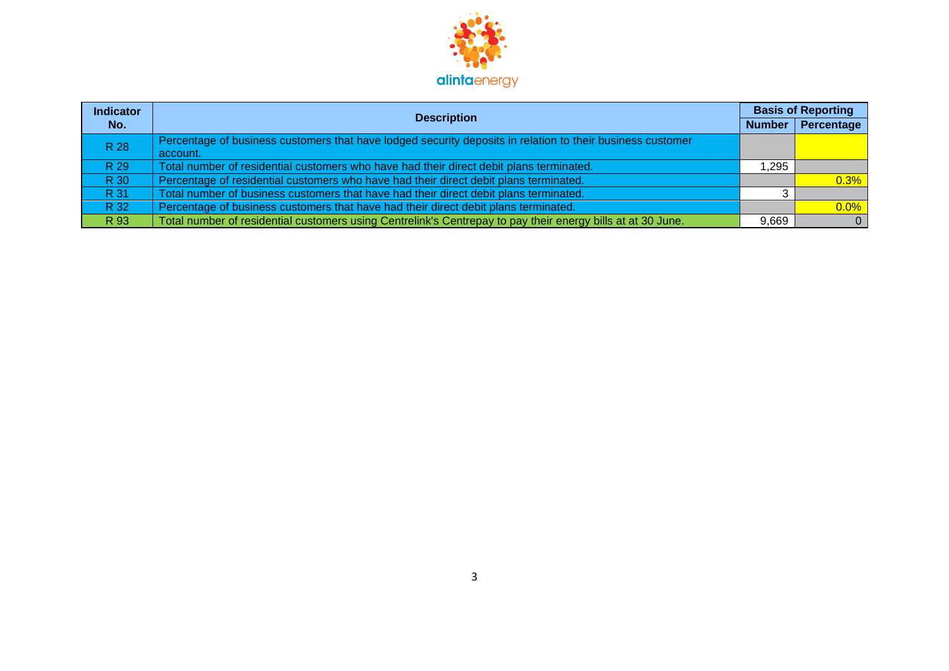

| <b>Indicator</b> | <b>Description</b>                                                                                          | <b>Basis of Reporting</b> |            |
|------------------|-------------------------------------------------------------------------------------------------------------|---------------------------|------------|
| No.              |                                                                                                             | Number                    | Percentage |
| R 28             | Percentage of business customers that have lodged security deposits in relation to their business customer  |                           |            |
|                  | account.                                                                                                    |                           |            |
| R 29             | Total number of residential customers who have had their direct debit plans terminated.                     | 1,295                     |            |
| R 30             | Percentage of residential customers who have had their direct debit plans terminated.                       |                           | 0.3%       |
| R 31             | Total number of business customers that have had their direct debit plans terminated.                       |                           |            |
| R 32             | Percentage of business customers that have had their direct debit plans terminated.                         |                           | $0.0\%$    |
| R 93             | Total number of residential customers using Centrelink's Centrepay to pay their energy bills at at 30 June. | 9,669                     | $\Omega$   |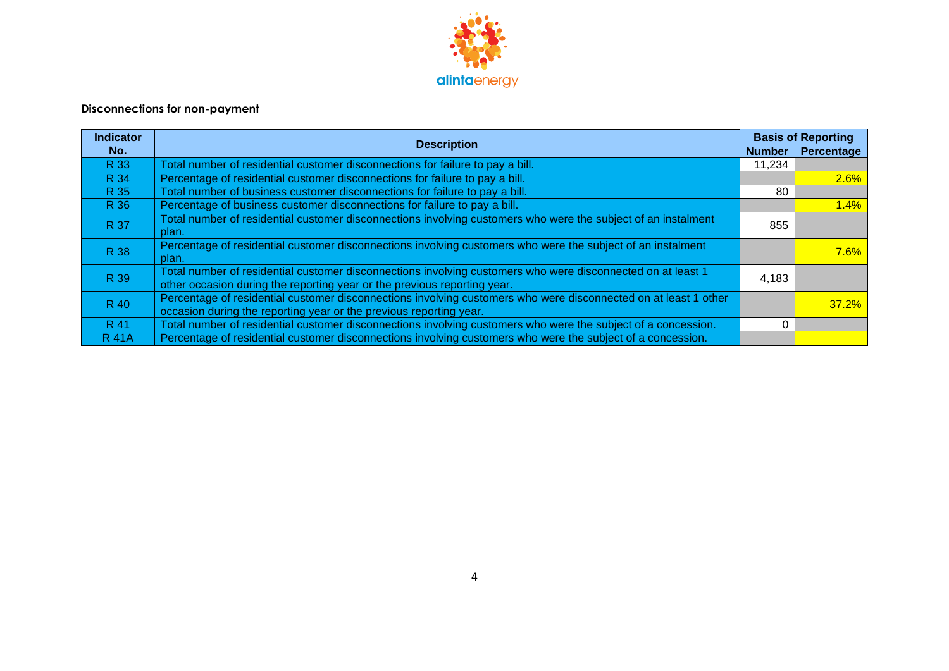

## **Disconnections for non-payment**

| <b>Indicator</b> | <b>Description</b>                                                                                                                                                                      |               | <b>Basis of Reporting</b> |
|------------------|-----------------------------------------------------------------------------------------------------------------------------------------------------------------------------------------|---------------|---------------------------|
| No.              |                                                                                                                                                                                         | <b>Number</b> | Percentage                |
| R 33             | Total number of residential customer disconnections for failure to pay a bill.                                                                                                          | 11,234        |                           |
| R 34             | Percentage of residential customer disconnections for failure to pay a bill.                                                                                                            |               | 2.6%                      |
| R 35             | Total number of business customer disconnections for failure to pay a bill.                                                                                                             | 80            |                           |
| R 36             | Percentage of business customer disconnections for failure to pay a bill.                                                                                                               |               | 1.4%                      |
| R 37             | Total number of residential customer disconnections involving customers who were the subject of an instalment<br>plan.                                                                  | 855           |                           |
| R 38             | Percentage of residential customer disconnections involving customers who were the subject of an instalment<br>plan.                                                                    |               | $7.6\%$                   |
| R 39             | Total number of residential customer disconnections involving customers who were disconnected on at least 1<br>other occasion during the reporting year or the previous reporting year. | 4,183         |                           |
| R 40             | Percentage of residential customer disconnections involving customers who were disconnected on at least 1 other<br>occasion during the reporting year or the previous reporting year.   |               | $37.2\%$                  |
| R 41             | Total number of residential customer disconnections involving customers who were the subject of a concession.                                                                           |               |                           |
| <b>R</b> 41A     | Percentage of residential customer disconnections involving customers who were the subject of a concession.                                                                             |               |                           |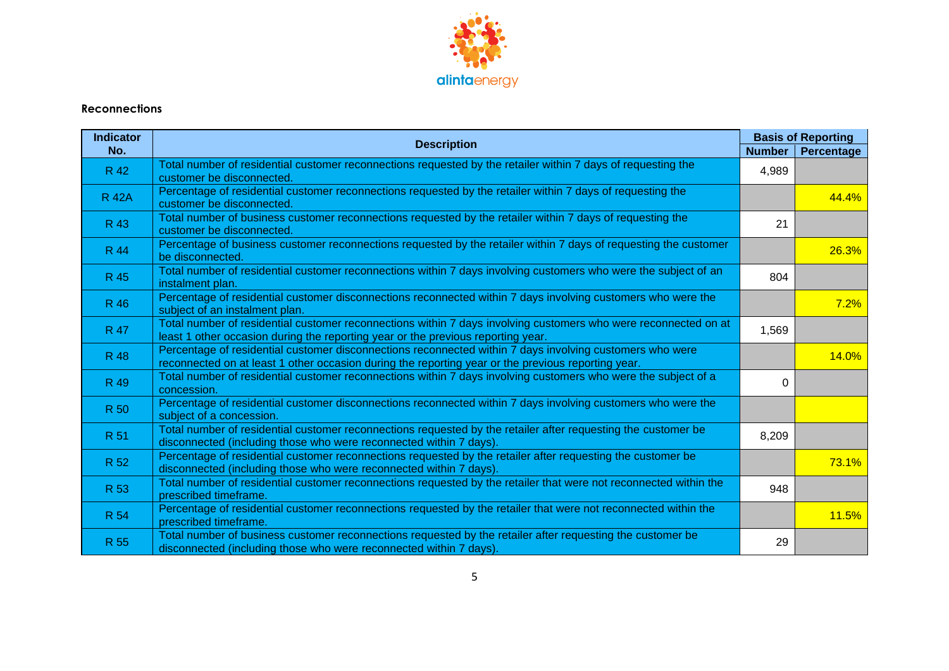

### **Reconnections**

| <b>Indicator</b> | <b>Description</b>                                                                                                                                                                                             | <b>Basis of Reporting</b> |                   |
|------------------|----------------------------------------------------------------------------------------------------------------------------------------------------------------------------------------------------------------|---------------------------|-------------------|
| No.              |                                                                                                                                                                                                                | <b>Number</b>             | <b>Percentage</b> |
| R 42             | Total number of residential customer reconnections requested by the retailer within 7 days of requesting the<br>customer be disconnected.                                                                      | 4,989                     |                   |
| <b>R</b> 42A     | Percentage of residential customer reconnections requested by the retailer within 7 days of requesting the<br>customer be disconnected.                                                                        |                           | 44.4%             |
| R 43             | Total number of business customer reconnections requested by the retailer within 7 days of requesting the<br>customer be disconnected.                                                                         | 21                        |                   |
| R 44             | Percentage of business customer reconnections requested by the retailer within 7 days of requesting the customer<br>be disconnected.                                                                           |                           | 26.3%             |
| R 45             | Total number of residential customer reconnections within 7 days involving customers who were the subject of an<br>instalment plan.                                                                            | 804                       |                   |
| R 46             | Percentage of residential customer disconnections reconnected within 7 days involving customers who were the<br>subject of an instalment plan.                                                                 |                           | 7.2%              |
| R 47             | Total number of residential customer reconnections within 7 days involving customers who were reconnected on at<br>least 1 other occasion during the reporting year or the previous reporting year.            | 1,569                     |                   |
| R 48             | Percentage of residential customer disconnections reconnected within 7 days involving customers who were<br>reconnected on at least 1 other occasion during the reporting year or the previous reporting year. |                           | 14.0%             |
| R 49             | Total number of residential customer reconnections within 7 days involving customers who were the subject of a<br>concession.                                                                                  | $\Omega$                  |                   |
| R 50             | Percentage of residential customer disconnections reconnected within 7 days involving customers who were the<br>subject of a concession.                                                                       |                           |                   |
| R 51             | Total number of residential customer reconnections requested by the retailer after requesting the customer be<br>disconnected (including those who were reconnected within 7 days).                            | 8,209                     |                   |
| R 52             | Percentage of residential customer reconnections requested by the retailer after requesting the customer be<br>disconnected (including those who were reconnected within 7 days).                              |                           | 73.1%             |
| R 53             | Total number of residential customer reconnections requested by the retailer that were not reconnected within the<br>prescribed timeframe.                                                                     | 948                       |                   |
| <b>R 54</b>      | Percentage of residential customer reconnections requested by the retailer that were not reconnected within the<br>prescribed timeframe.                                                                       |                           | 11.5%             |
| R 55             | Total number of business customer reconnections requested by the retailer after requesting the customer be<br>disconnected (including those who were reconnected within 7 days).                               | 29                        |                   |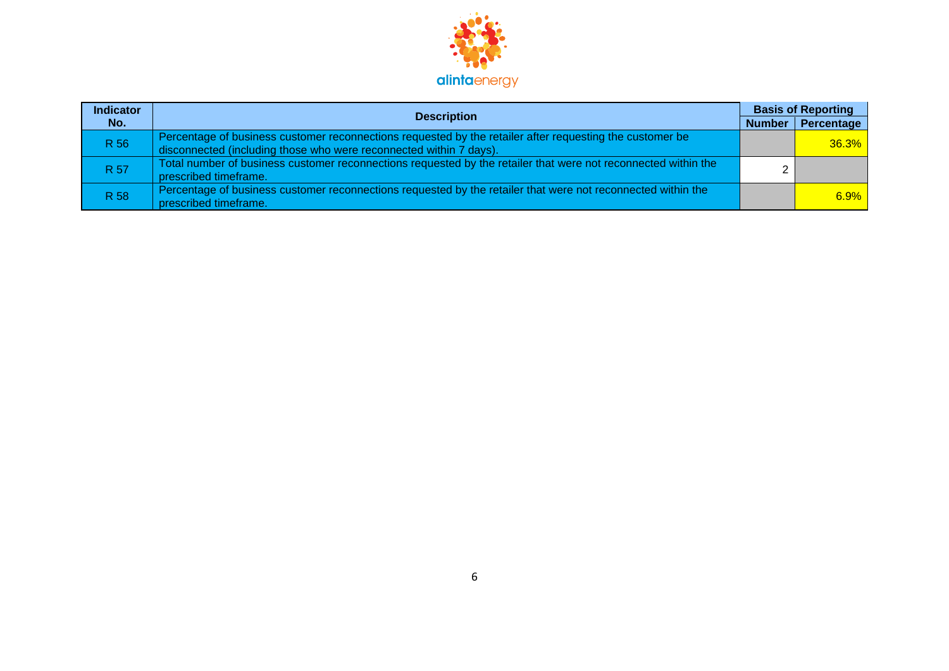

| <b>Indicator</b> | <b>Description</b>                                                                                                                                                             | <b>Basis of Reporting</b> |
|------------------|--------------------------------------------------------------------------------------------------------------------------------------------------------------------------------|---------------------------|
| No.              |                                                                                                                                                                                | Number   Percentage       |
| R 56             | Percentage of business customer reconnections requested by the retailer after requesting the customer be<br>disconnected (including those who were reconnected within 7 days). | $36.3\%$                  |
| R 57             | Total number of business customer reconnections requested by the retailer that were not reconnected within the<br>prescribed timeframe.                                        |                           |
| R 58             | Percentage of business customer reconnections requested by the retailer that were not reconnected within the<br>prescribed timeframe.                                          | $6.9\%$                   |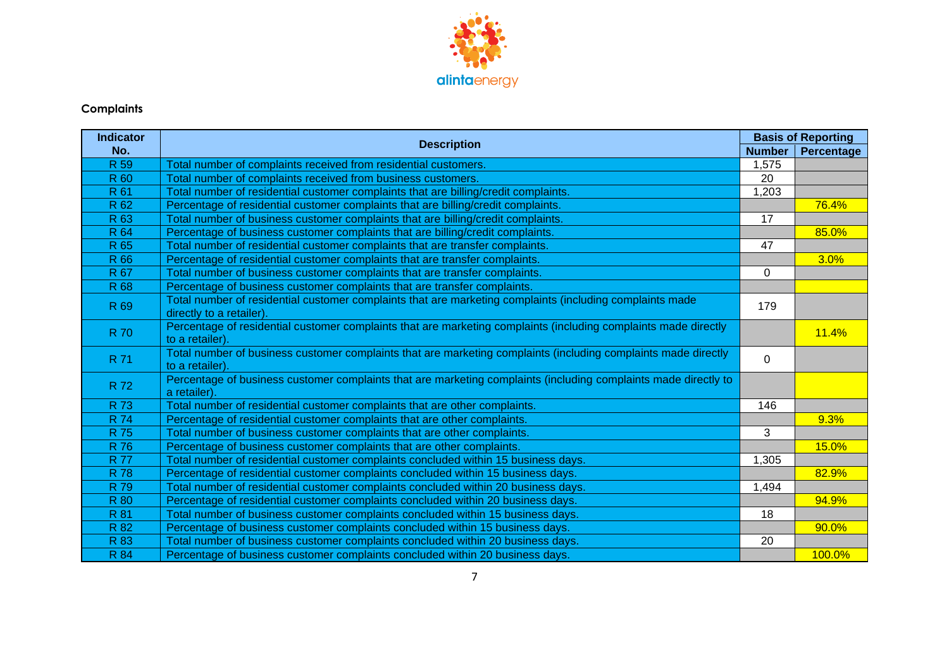

## **Complaints**

| <b>Indicator</b> |                                                                                                                                      | <b>Basis of Reporting</b> |            |
|------------------|--------------------------------------------------------------------------------------------------------------------------------------|---------------------------|------------|
| No.              | <b>Description</b>                                                                                                                   | <b>Number</b>             | Percentage |
| R <sub>59</sub>  | Total number of complaints received from residential customers.                                                                      | 1,575                     |            |
| R 60             | Total number of complaints received from business customers.                                                                         | 20                        |            |
| R 61             | Total number of residential customer complaints that are billing/credit complaints.                                                  | 1,203                     |            |
| R 62             | Percentage of residential customer complaints that are billing/credit complaints.                                                    |                           | 76.4%      |
| R 63             | Total number of business customer complaints that are billing/credit complaints.                                                     | 17                        |            |
| <b>R64</b>       | Percentage of business customer complaints that are billing/credit complaints.                                                       |                           | 85.0%      |
| R 65             | Total number of residential customer complaints that are transfer complaints.                                                        | 47                        |            |
| R 66             | Percentage of residential customer complaints that are transfer complaints.                                                          |                           | 3.0%       |
| <b>R67</b>       | Total number of business customer complaints that are transfer complaints.                                                           | $\Omega$                  |            |
| <b>R68</b>       | Percentage of business customer complaints that are transfer complaints.                                                             |                           |            |
| R 69             | Total number of residential customer complaints that are marketing complaints (including complaints made<br>directly to a retailer). | 179                       |            |
| <b>R70</b>       | Percentage of residential customer complaints that are marketing complaints (including complaints made directly<br>to a retailer).   |                           | 11.4%      |
| R 71             | Total number of business customer complaints that are marketing complaints (including complaints made directly<br>to a retailer).    | $\Omega$                  |            |
| R 72             | Percentage of business customer complaints that are marketing complaints (including complaints made directly to<br>a retailer).      |                           |            |
| <b>R73</b>       | Total number of residential customer complaints that are other complaints.                                                           | 146                       |            |
| <b>R</b> 74      | Percentage of residential customer complaints that are other complaints.                                                             |                           | 9.3%       |
| <b>R75</b>       | Total number of business customer complaints that are other complaints.                                                              | 3                         |            |
| R 76             | Percentage of business customer complaints that are other complaints.                                                                |                           | 15.0%      |
| <b>R77</b>       | Total number of residential customer complaints concluded within 15 business days.                                                   | 1,305                     |            |
| <b>R78</b>       | Percentage of residential customer complaints concluded within 15 business days.                                                     |                           | 82.9%      |
| R 79             | Total number of residential customer complaints concluded within 20 business days.                                                   | 1,494                     |            |
| <b>R</b> 80      | Percentage of residential customer complaints concluded within 20 business days.                                                     |                           | 94.9%      |
| R 81             | Total number of business customer complaints concluded within 15 business days.                                                      | 18                        |            |
| <b>R82</b>       | Percentage of business customer complaints concluded within 15 business days.                                                        |                           | 90.0%      |
| R 83             | Total number of business customer complaints concluded within 20 business days.                                                      | 20                        |            |
| <b>R</b> 84      | Percentage of business customer complaints concluded within 20 business days.                                                        |                           | 100.0%     |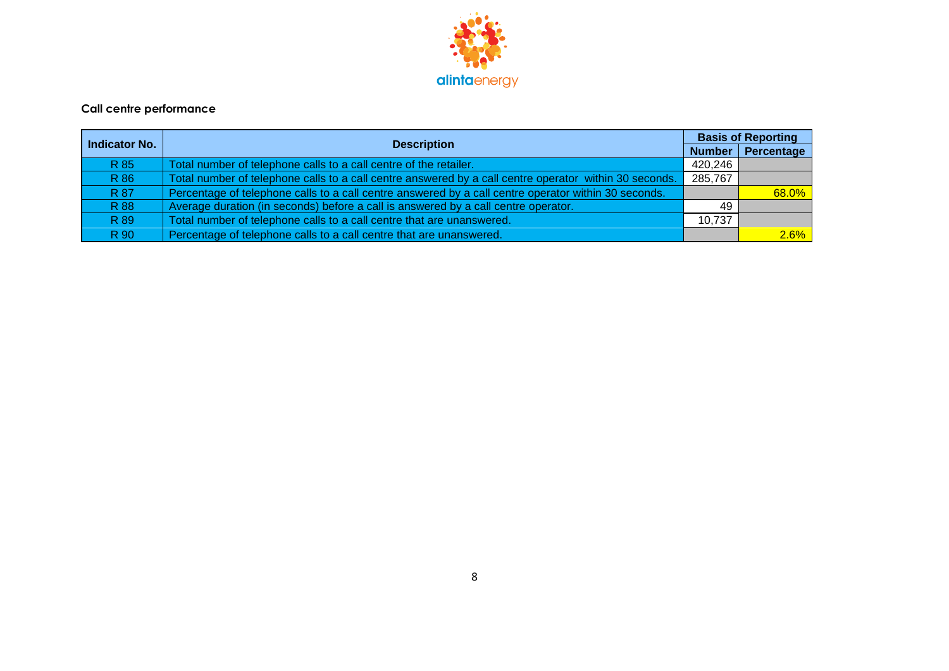

### **Call centre performance**

| Indicator No. | <b>Description</b>                                                                                     |               | <b>Basis of Reporting</b> |
|---------------|--------------------------------------------------------------------------------------------------------|---------------|---------------------------|
|               |                                                                                                        | <b>Number</b> | Percentage                |
| R 85          | Total number of telephone calls to a call centre of the retailer.                                      | 420,246       |                           |
| R 86          | Total number of telephone calls to a call centre answered by a call centre operator within 30 seconds. | 285,767       |                           |
| R 87          | Percentage of telephone calls to a call centre answered by a call centre operator within 30 seconds.   |               | 68.0%                     |
| R 88          | Average duration (in seconds) before a call is answered by a call centre operator.                     | 49            |                           |
| R 89          | Total number of telephone calls to a call centre that are unanswered.                                  | 10.737        |                           |
| R 90          | Percentage of telephone calls to a call centre that are unanswered.                                    |               | 2.6%                      |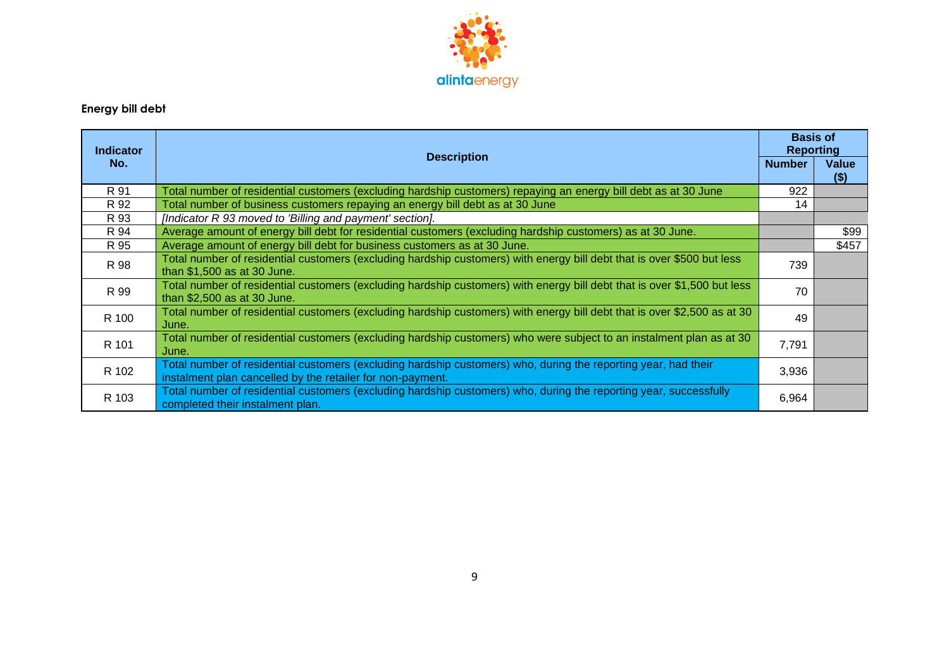

# **Energy bill debt**

| <b>Indicator</b> |                                                                                                                                                                              |               | <b>Basis of</b><br><b>Reporting</b> |
|------------------|------------------------------------------------------------------------------------------------------------------------------------------------------------------------------|---------------|-------------------------------------|
| No.              | <b>Description</b>                                                                                                                                                           | <b>Number</b> | <b>Value</b><br>$($ \$)             |
| R 91             | Total number of residential customers (excluding hardship customers) repaying an energy bill debt as at 30 June                                                              | 922           |                                     |
| R 92             | Total number of business customers repaying an energy bill debt as at 30 June                                                                                                | 14            |                                     |
| R 93             | [Indicator R 93 moved to 'Billing and payment' section].                                                                                                                     |               |                                     |
| R 94             | Average amount of energy bill debt for residential customers (excluding hardship customers) as at 30 June.                                                                   |               | \$99                                |
| R 95             | Average amount of energy bill debt for business customers as at 30 June.                                                                                                     |               | \$457                               |
| R 98             | Total number of residential customers (excluding hardship customers) with energy bill debt that is over \$500 but less<br>than \$1,500 as at 30 June.                        | 739           |                                     |
| R 99             | Total number of residential customers (excluding hardship customers) with energy bill debt that is over \$1,500 but less<br>than \$2,500 as at 30 June.                      | 70            |                                     |
| R 100            | Total number of residential customers (excluding hardship customers) with energy bill debt that is over \$2,500 as at 30<br>June.                                            | 49            |                                     |
| R 101            | Total number of residential customers (excluding hardship customers) who were subject to an instalment plan as at 30<br>June.                                                | 7,791         |                                     |
| R 102            | Total number of residential customers (excluding hardship customers) who, during the reporting year, had their<br>instalment plan cancelled by the retailer for non-payment. | 3,936         |                                     |
| R 103            | Total number of residential customers (excluding hardship customers) who, during the reporting year, successfully<br>completed their instalment plan.                        | 6,964         |                                     |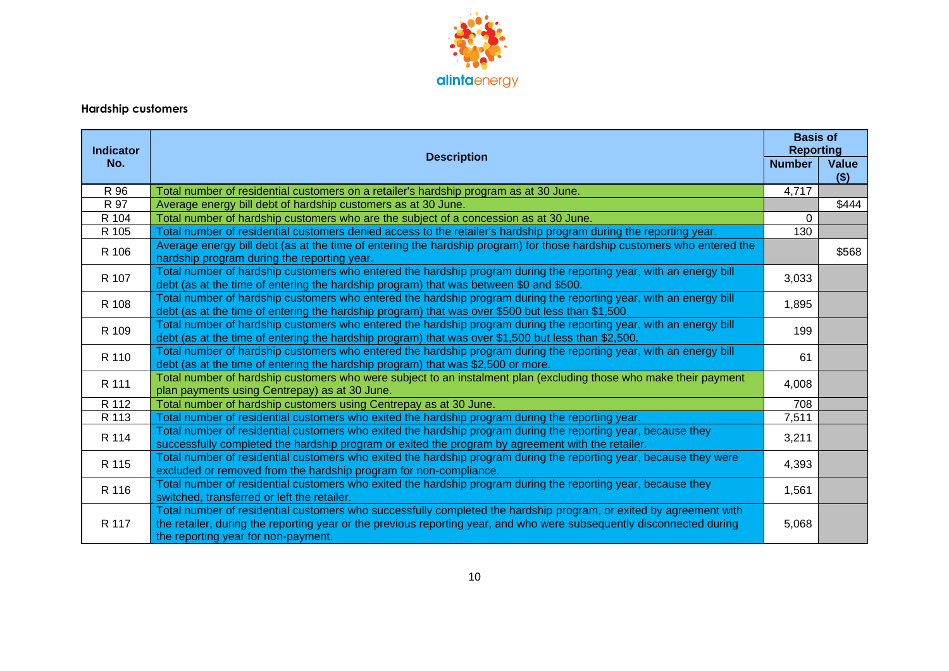

# **Hardship customers**

| <b>Indicator</b> |                                                                                                                                                                                                                                                                                    | <b>Basis of</b><br><b>Reporting</b> |                  |
|------------------|------------------------------------------------------------------------------------------------------------------------------------------------------------------------------------------------------------------------------------------------------------------------------------|-------------------------------------|------------------|
| No.              | <b>Description</b><br><b>Number</b>                                                                                                                                                                                                                                                |                                     | Value<br>$($ \$) |
| R 96             | Total number of residential customers on a retailer's hardship program as at 30 June.                                                                                                                                                                                              | 4,717                               |                  |
| R 97             | Average energy bill debt of hardship customers as at 30 June.                                                                                                                                                                                                                      |                                     | \$444            |
| R 104            | Total number of hardship customers who are the subject of a concession as at 30 June.                                                                                                                                                                                              | $\Omega$                            |                  |
| R 105            | Total number of residential customers denied access to the retailer's hardship program during the reporting year.                                                                                                                                                                  | 130                                 |                  |
| R 106            | Average energy bill debt (as at the time of entering the hardship program) for those hardship customers who entered the<br>hardship program during the reporting year.                                                                                                             |                                     | \$568            |
| R 107            | Total number of hardship customers who entered the hardship program during the reporting year, with an energy bill<br>debt (as at the time of entering the hardship program) that was between \$0 and \$500.                                                                       | 3,033                               |                  |
| R 108            | Total number of hardship customers who entered the hardship program during the reporting year, with an energy bill<br>debt (as at the time of entering the hardship program) that was over \$500 but less than \$1,500.                                                            | 1,895                               |                  |
| R 109            | Total number of hardship customers who entered the hardship program during the reporting year, with an energy bill<br>debt (as at the time of entering the hardship program) that was over \$1,500 but less than \$2,500.                                                          | 199                                 |                  |
| R 110            | Total number of hardship customers who entered the hardship program during the reporting year, with an energy bill<br>debt (as at the time of entering the hardship program) that was \$2,500 or more.                                                                             | 61                                  |                  |
| R 111            | Total number of hardship customers who were subject to an instalment plan (excluding those who make their payment<br>plan payments using Centrepay) as at 30 June.                                                                                                                 | 4,008                               |                  |
| R 112            | Total number of hardship customers using Centrepay as at 30 June.                                                                                                                                                                                                                  | 708                                 |                  |
| R 113            | Total number of residential customers who exited the hardship program during the reporting year.                                                                                                                                                                                   | 7,511                               |                  |
| R 114            | Total number of residential customers who exited the hardship program during the reporting year, because they<br>successfully completed the hardship program or exited the program by agreement with the retailer.                                                                 | 3,211                               |                  |
| R 115            | Total number of residential customers who exited the hardship program during the reporting year, because they were<br>excluded or removed from the hardship program for non-compliance.                                                                                            | 4,393                               |                  |
| R 116            | Total number of residential customers who exited the hardship program during the reporting year, because they<br>switched, transferred or left the retailer.                                                                                                                       | 1,561                               |                  |
| R 117            | Total number of residential customers who successfully completed the hardship program, or exited by agreement with<br>the retailer, during the reporting year or the previous reporting year, and who were subsequently disconnected during<br>the reporting year for non-payment. | 5,068                               |                  |